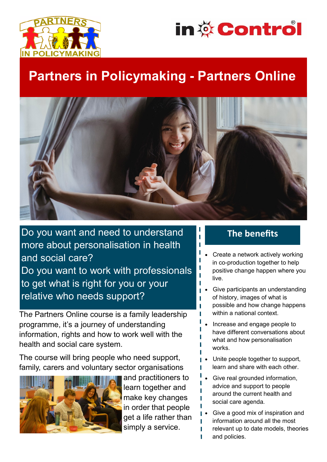



# **Partners in Policymaking - Partners Online**



Do you want and need to understand more about personalisation in health and social care? Do you want to work with professionals to get what is right for you or your relative who needs support?

Th*e* Partners Online course is a family leadership programme, it's a journey of understanding information, rights and how to work well with the health and social care system.

The course will bring people who need support, family, carers and voluntary sector organisations



and practitioners to learn together and make key changes in order that people get a life rather than simply a service.

### **The benefits**

- Create a network actively working in co-production together to help positive change happen where you live.
- Give participants an understanding of history, images of what is possible and how change happens within a national context.
- Increase and engage people to have different conversations about what and how personalisation works.
- Unite people together to support, learn and share with each other.
- Give real grounded information. advice and support to people around the current health and social care agenda.
- Give a good mix of inspiration and information around all the most relevant up to date models, theories ī and policies.